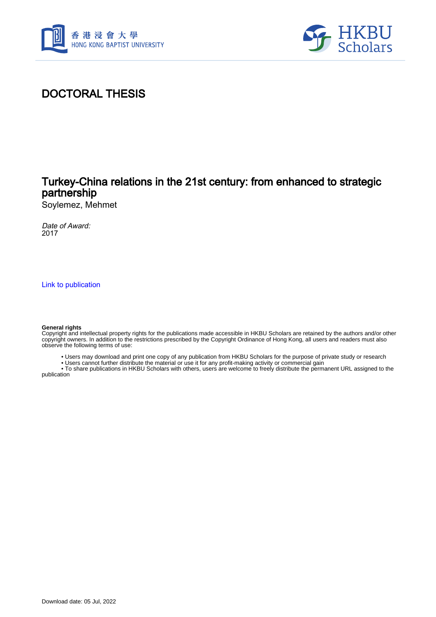



# DOCTORAL THESIS

## Turkey-China relations in the 21st century: from enhanced to strategic partnership

Soylemez, Mehmet

Date of Award: 2017

[Link to publication](https://scholars.hkbu.edu.hk/en/studentTheses/79a7eb83-ecb7-425b-98bb-873b7845fa72)

#### **General rights**

Copyright and intellectual property rights for the publications made accessible in HKBU Scholars are retained by the authors and/or other copyright owners. In addition to the restrictions prescribed by the Copyright Ordinance of Hong Kong, all users and readers must also observe the following terms of use:

- Users may download and print one copy of any publication from HKBU Scholars for the purpose of private study or research
- Users cannot further distribute the material or use it for any profit-making activity or commercial gain

 • To share publications in HKBU Scholars with others, users are welcome to freely distribute the permanent URL assigned to the publication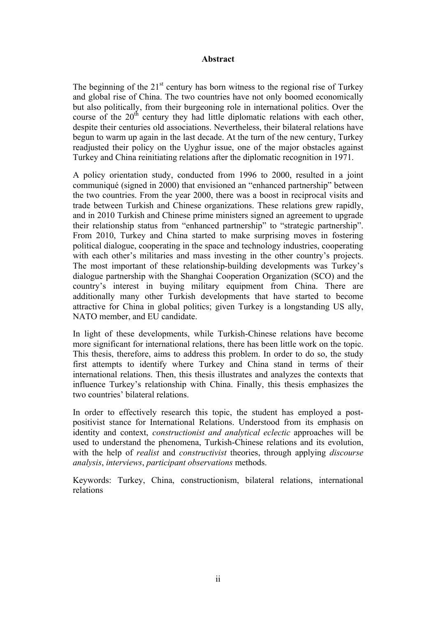### **Abstract**

The beginning of the  $21<sup>st</sup>$  century has born witness to the regional rise of Turkey and global rise of China. The two countries have not only boomed economically but also politically, from their burgeoning role in international politics. Over the course of the  $20<sup>th</sup>$  century they had little diplomatic relations with each other, despite their centuries old associations. Nevertheless, their bilateral relations have begun to warm up again in the last decade. At the turn of the new century, Turkey readjusted their policy on the Uyghur issue, one of the major obstacles against Turkey and China reinitiating relations after the diplomatic recognition in 1971.

A policy orientation study, conducted from 1996 to 2000, resulted in a joint communiqué (signed in 2000) that envisioned an "enhanced partnership" between the two countries. From the year 2000, there was a boost in reciprocal visits and trade between Turkish and Chinese organizations. These relations grew rapidly, and in 2010 Turkish and Chinese prime ministers signed an agreement to upgrade their relationship status from "enhanced partnership" to "strategic partnership". From 2010, Turkey and China started to make surprising moves in fostering political dialogue, cooperating in the space and technology industries, cooperating with each other's militaries and mass investing in the other country's projects. The most important of these relationship-building developments was Turkey's dialogue partnership with the Shanghai Cooperation Organization (SCO) and the country's interest in buying military equipment from China. There are additionally many other Turkish developments that have started to become attractive for China in global politics; given Turkey is a longstanding US ally, NATO member, and EU candidate.

In light of these developments, while Turkish-Chinese relations have become more significant for international relations, there has been little work on the topic. This thesis, therefore, aims to address this problem. In order to do so, the study first attempts to identify where Turkey and China stand in terms of their international relations. Then, this thesis illustrates and analyzes the contexts that influence Turkey's relationship with China. Finally, this thesis emphasizes the two countries' bilateral relations.

In order to effectively research this topic, the student has employed a postpositivist stance for International Relations. Understood from its emphasis on identity and context, *constructionist and analytical eclectic* approaches will be used to understand the phenomena, Turkish-Chinese relations and its evolution, with the help of *realist* and *constructivist* theories, through applying *discourse analysis*, *interviews*, *participant observations* methods.

Keywords: Turkey, China, constructionism, bilateral relations, international relations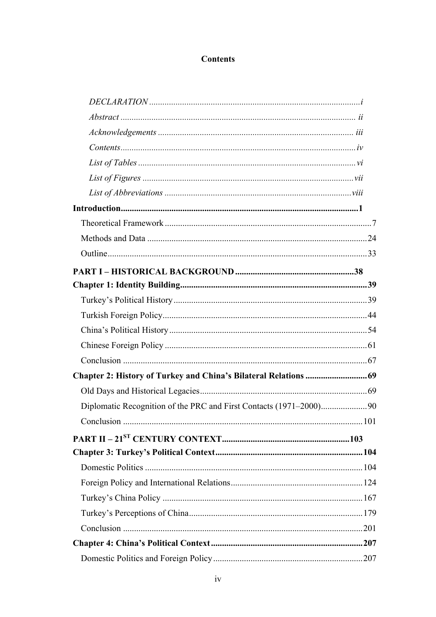### **Contents**